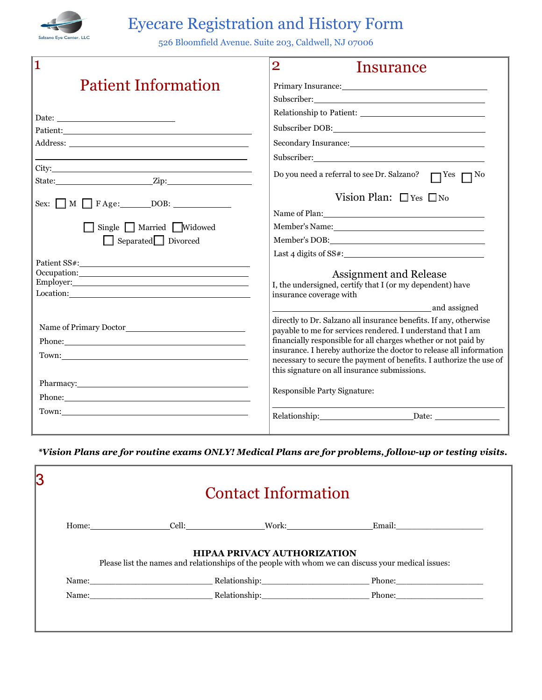

## Eye*c*are Registration and History Form

526 Bloomfield Avenue. Suite 203, Caldwell, NJ 07006

| 1                                                                                                                                                                                                                                            | $\overline{2}$<br>Insurance                                                                                                                                                                                                                                                                                                                                                                      |
|----------------------------------------------------------------------------------------------------------------------------------------------------------------------------------------------------------------------------------------------|--------------------------------------------------------------------------------------------------------------------------------------------------------------------------------------------------------------------------------------------------------------------------------------------------------------------------------------------------------------------------------------------------|
| <b>Patient Information</b>                                                                                                                                                                                                                   | Primary Insurance: New York Changes and Section 2014                                                                                                                                                                                                                                                                                                                                             |
|                                                                                                                                                                                                                                              | Subscriber: 2000 and 2000 and 2000 and 2000 and 2000 and 2000 and 2000 and 2000 and 2000 and 2000 and 2000 and 2000 and 2000 and 2000 and 2000 and 2000 and 2000 and 2000 and 2000 and 2000 and 2000 and 2000 and 2000 and 200                                                                                                                                                                   |
|                                                                                                                                                                                                                                              |                                                                                                                                                                                                                                                                                                                                                                                                  |
| Patient: Patient:                                                                                                                                                                                                                            |                                                                                                                                                                                                                                                                                                                                                                                                  |
|                                                                                                                                                                                                                                              |                                                                                                                                                                                                                                                                                                                                                                                                  |
|                                                                                                                                                                                                                                              |                                                                                                                                                                                                                                                                                                                                                                                                  |
| City: City:                                                                                                                                                                                                                                  | Do you need a referral to see Dr. Salzano? □ Yes □ No                                                                                                                                                                                                                                                                                                                                            |
| Sex: $M \square$ F Age: $DOB$ :                                                                                                                                                                                                              | Vision Plan: $\Box$ Yes $\Box$ No                                                                                                                                                                                                                                                                                                                                                                |
|                                                                                                                                                                                                                                              | Name of Plan:                                                                                                                                                                                                                                                                                                                                                                                    |
| Single Married Widowed                                                                                                                                                                                                                       |                                                                                                                                                                                                                                                                                                                                                                                                  |
| Separated Divorced                                                                                                                                                                                                                           |                                                                                                                                                                                                                                                                                                                                                                                                  |
|                                                                                                                                                                                                                                              | Last 4 digits of $SS#$ :                                                                                                                                                                                                                                                                                                                                                                         |
| Occupation: New York Contract of the Contract of the Contract of the Contract of the Contract of the Contract of the Contract of the Contract of the Contract of the Contract of the Contract of the Contract of the Contract                | <b>Assignment and Release</b>                                                                                                                                                                                                                                                                                                                                                                    |
|                                                                                                                                                                                                                                              | I, the undersigned, certify that I (or my dependent) have<br>insurance coverage with                                                                                                                                                                                                                                                                                                             |
|                                                                                                                                                                                                                                              | and assigned                                                                                                                                                                                                                                                                                                                                                                                     |
| Phone: 2008 - 2008 - 2019 - 2019 - 2019 - 2019 - 2019 - 2019 - 2019 - 2019 - 2019 - 2019 - 2019 - 2019 - 2019 - 2019 - 2019 - 2019 - 2019 - 2019 - 2019 - 2019 - 2019 - 2019 - 2019 - 2019 - 2019 - 2019 - 2019 - 2019 - 2019<br>Town: Town: | directly to Dr. Salzano all insurance benefits. If any, otherwise<br>payable to me for services rendered. I understand that I am<br>financially responsible for all charges whether or not paid by<br>insurance. I hereby authorize the doctor to release all information<br>necessary to secure the payment of benefits. I authorize the use of<br>this signature on all insurance submissions. |
| Pharmacy: New York Changes and Science of the Changes of the Changes of the Changes of the Changes of the Changes of the Changes of the Changes of the Changes of the Changes of the Changes of the Changes of the Changes of                |                                                                                                                                                                                                                                                                                                                                                                                                  |
|                                                                                                                                                                                                                                              | Responsible Party Signature:                                                                                                                                                                                                                                                                                                                                                                     |
| Town: Town:                                                                                                                                                                                                                                  | Relationship: Network of the state of the state of the state of the state of the state of the state of the state of the state of the state of the state of the state of the state of the state of the state of the state of th<br>$\Box$ Date: $\Box$                                                                                                                                            |

*\*Vision Plans are for routine exams ONLY! Medical Plans are for problems, follow-up or testing visits.*

| <b>Contact Information</b> |                                    |                                                                                                     |
|----------------------------|------------------------------------|-----------------------------------------------------------------------------------------------------|
|                            |                                    | Home: Cell: Work: Email:                                                                            |
|                            | <b>HIPAA PRIVACY AUTHORIZATION</b> |                                                                                                     |
|                            |                                    | Please list the names and relationships of the people with whom we can discuss your medical issues: |
|                            |                                    |                                                                                                     |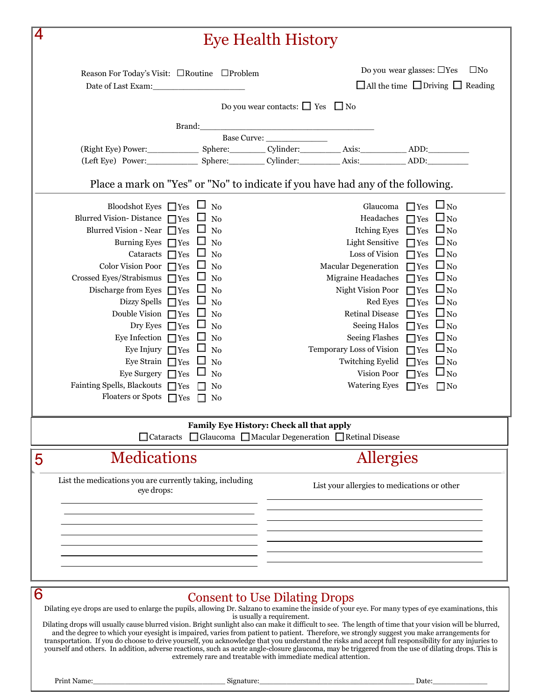|   |                                                                        | <b>Eye Health History</b>                                                                                                                                                                                                                                                                                                                                                                                                                                        |
|---|------------------------------------------------------------------------|------------------------------------------------------------------------------------------------------------------------------------------------------------------------------------------------------------------------------------------------------------------------------------------------------------------------------------------------------------------------------------------------------------------------------------------------------------------|
|   | Reason For Today's Visit: □Routine □Problem<br>Date of Last Exam:      | Do you wear glasses: $\Box$ Yes<br>$\square$ No<br>$\Box$ All the time $\Box$ Driving $\Box$ Reading                                                                                                                                                                                                                                                                                                                                                             |
|   |                                                                        | Do you wear contacts: $\Box$ Yes $\Box$ No                                                                                                                                                                                                                                                                                                                                                                                                                       |
|   | Brand:                                                                 |                                                                                                                                                                                                                                                                                                                                                                                                                                                                  |
|   |                                                                        |                                                                                                                                                                                                                                                                                                                                                                                                                                                                  |
|   |                                                                        |                                                                                                                                                                                                                                                                                                                                                                                                                                                                  |
|   |                                                                        | (Left Eye) Power: Sphere: Cylinder: Axis: ADD:                                                                                                                                                                                                                                                                                                                                                                                                                   |
|   |                                                                        | Place a mark on "Yes" or "No" to indicate if you have had any of the following.                                                                                                                                                                                                                                                                                                                                                                                  |
|   | Bloodshot Eyes $\Box$ Yes $\Box$ No                                    | Glaucoma $\Box$ Yes $\Box$ No                                                                                                                                                                                                                                                                                                                                                                                                                                    |
|   | Blurred Vision-Distance $\Box$ Yes $\Box$ No                           | Headaches $\Box$ Yes $\Box$ No                                                                                                                                                                                                                                                                                                                                                                                                                                   |
|   | Blurred Vision - Near $\Box$ Yes<br>No                                 | Itching Eyes $\Box$ Yes $\Box$ No                                                                                                                                                                                                                                                                                                                                                                                                                                |
|   | Burning Eyes $\Box$ Yes<br>No                                          | Light Sensitive $\Box$ Yes $\Box$ No                                                                                                                                                                                                                                                                                                                                                                                                                             |
|   | Cataracts $\Box$ Yes<br>$\rm No$                                       | Loss of Vision $\Box$ Yes $\Box$ No                                                                                                                                                                                                                                                                                                                                                                                                                              |
|   | Color Vision Poor $\Box$ Yes<br>No                                     | Macular Degeneration $\Box$ Yes $\Box$ No                                                                                                                                                                                                                                                                                                                                                                                                                        |
|   | Crossed Eyes/Strabismus $\Box$ Yes<br>No                               | Migraine Headaches<br>$\square_{\,\mathrm{No}}$<br>$\Box$ Yes                                                                                                                                                                                                                                                                                                                                                                                                    |
|   | Discharge from Eyes $\Box$ Yes<br>No                                   | Night Vision Poor<br>$\Box$ Yes $\Box$ No<br>Red Eyes<br>$\square_{\,\mathrm{No}}$                                                                                                                                                                                                                                                                                                                                                                               |
|   | Dizzy Spells $\Box$ Yes<br>No<br>Double Vision $\Box$ Yes<br>No        | $\Box$ Yes<br>Retinal Disease $\Box$ Yes $\Box$ No                                                                                                                                                                                                                                                                                                                                                                                                               |
|   | Dry Eyes $\Box$ Yes<br>No                                              | $\square_{\,\mathrm{No}}$<br>Seeing Halos $\Box$ Yes                                                                                                                                                                                                                                                                                                                                                                                                             |
|   | Eye Infection $\Box$ Yes<br>$\rm No$                                   | <b>Seeing Flashes</b><br>$\Box$ Yes<br>$\Box_{\rm No}$                                                                                                                                                                                                                                                                                                                                                                                                           |
|   | Eye Injury $\Box$ Yes<br>No                                            | Temporary Loss of Vision<br>$\Box_{\rm No}$<br>$\Box$ Yes                                                                                                                                                                                                                                                                                                                                                                                                        |
|   | Eye Strain $\Box$ Yes<br>No                                            | <b>Twitching Eyelid</b><br>$\Box_{\,\rm No}$<br>$\Box$ Yes                                                                                                                                                                                                                                                                                                                                                                                                       |
|   | Eye Surgery $\Box$ Yes<br>No                                           | $\Box_{\text{No}}$<br>Vision Poor<br>$\Box$ Yes                                                                                                                                                                                                                                                                                                                                                                                                                  |
|   | Fainting Spells, Blackouts $\Box$ Yes<br>$\Box$ No                     | <b>Watering Eyes</b><br>$\Box$ Yes<br>$\Box$ No                                                                                                                                                                                                                                                                                                                                                                                                                  |
|   | Floaters or Spots $\Box$ Yes<br>$\Box$ No                              |                                                                                                                                                                                                                                                                                                                                                                                                                                                                  |
|   |                                                                        | Family Eye History: Check all that apply                                                                                                                                                                                                                                                                                                                                                                                                                         |
|   | $\Box$ Cataracts                                                       | □ Glaucoma □ Macular Degeneration □ Retinal Disease                                                                                                                                                                                                                                                                                                                                                                                                              |
| 5 | <b>Medications</b>                                                     | Allergies                                                                                                                                                                                                                                                                                                                                                                                                                                                        |
|   | List the medications you are currently taking, including<br>eye drops: | List your allergies to medications or other                                                                                                                                                                                                                                                                                                                                                                                                                      |
|   |                                                                        |                                                                                                                                                                                                                                                                                                                                                                                                                                                                  |
|   |                                                                        |                                                                                                                                                                                                                                                                                                                                                                                                                                                                  |
|   |                                                                        |                                                                                                                                                                                                                                                                                                                                                                                                                                                                  |
|   |                                                                        |                                                                                                                                                                                                                                                                                                                                                                                                                                                                  |
|   |                                                                        |                                                                                                                                                                                                                                                                                                                                                                                                                                                                  |
| 6 |                                                                        |                                                                                                                                                                                                                                                                                                                                                                                                                                                                  |
|   |                                                                        | <b>Consent to Use Dilating Drops</b><br>Dilating eye drops are used to enlarge the pupils, allowing Dr. Salzano to examine the inside of your eye. For many types of eye examinations, this                                                                                                                                                                                                                                                                      |
|   |                                                                        | is usually a requirement.                                                                                                                                                                                                                                                                                                                                                                                                                                        |
|   |                                                                        | Dilating drops will usually cause blurred vision. Bright sunlight also can make it difficult to see. The length of time that your vision will be blurred,<br>and the degree to which your eyesight is impaired, varies from patient to patient. Therefore, we strongly suggest you make arrangements for<br>transportation. If you do choose to drive yourself, you acknowledge that you understand the risks and accept full responsibility for any injuries to |

Print Name:\_\_\_\_\_\_\_\_\_\_\_\_\_\_\_\_\_\_\_\_\_\_\_\_\_\_\_\_\_ Signature:\_\_\_\_\_\_\_\_\_\_\_\_\_\_\_\_\_\_\_\_\_\_\_\_\_\_\_\_\_\_\_\_\_\_ Date:\_\_\_\_\_\_\_\_\_\_\_\_

yourself and others. In addition, adverse reactions, such as acute angle-closure glaucoma, may be triggered from the use of dilating drops. This is extremely rare and treatable with immediate medical attention.